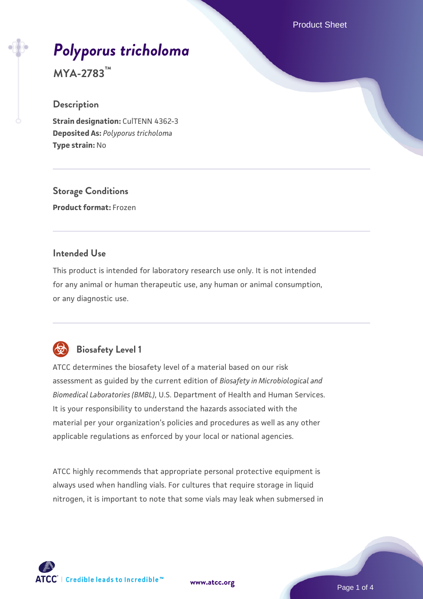Product Sheet

# *[Polyporus tricholoma](https://www.atcc.org/products/mya-2783)*

**MYA-2783™**

#### **Description**

**Strain designation: CulTENN 4362-3 Deposited As:** *Polyporus tricholoma* **Type strain:** No

**Storage Conditions Product format:** Frozen

#### **Intended Use**

This product is intended for laboratory research use only. It is not intended for any animal or human therapeutic use, any human or animal consumption, or any diagnostic use.



## **Biosafety Level 1**

ATCC determines the biosafety level of a material based on our risk assessment as guided by the current edition of *Biosafety in Microbiological and Biomedical Laboratories (BMBL)*, U.S. Department of Health and Human Services. It is your responsibility to understand the hazards associated with the material per your organization's policies and procedures as well as any other applicable regulations as enforced by your local or national agencies.

ATCC highly recommends that appropriate personal protective equipment is always used when handling vials. For cultures that require storage in liquid nitrogen, it is important to note that some vials may leak when submersed in

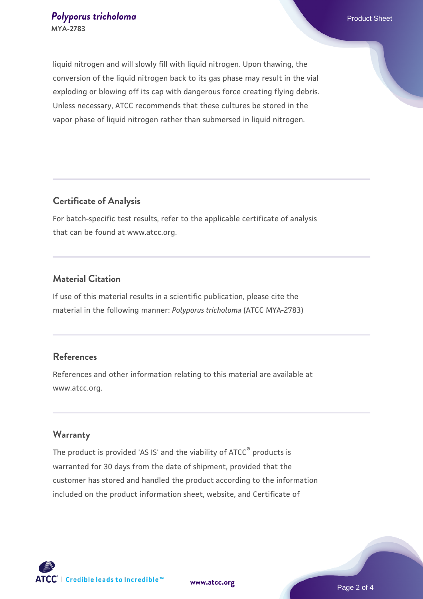liquid nitrogen and will slowly fill with liquid nitrogen. Upon thawing, the conversion of the liquid nitrogen back to its gas phase may result in the vial exploding or blowing off its cap with dangerous force creating flying debris. Unless necessary, ATCC recommends that these cultures be stored in the vapor phase of liquid nitrogen rather than submersed in liquid nitrogen.

### **Certificate of Analysis**

For batch-specific test results, refer to the applicable certificate of analysis that can be found at www.atcc.org.

### **Material Citation**

If use of this material results in a scientific publication, please cite the material in the following manner: *Polyporus tricholoma* (ATCC MYA-2783)

#### **References**

References and other information relating to this material are available at www.atcc.org.

#### **Warranty**

The product is provided 'AS IS' and the viability of ATCC® products is warranted for 30 days from the date of shipment, provided that the customer has stored and handled the product according to the information included on the product information sheet, website, and Certificate of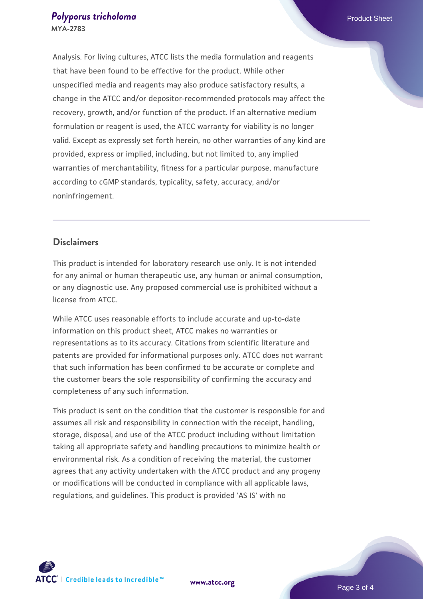Analysis. For living cultures, ATCC lists the media formulation and reagents that have been found to be effective for the product. While other unspecified media and reagents may also produce satisfactory results, a change in the ATCC and/or depositor-recommended protocols may affect the recovery, growth, and/or function of the product. If an alternative medium formulation or reagent is used, the ATCC warranty for viability is no longer valid. Except as expressly set forth herein, no other warranties of any kind are provided, express or implied, including, but not limited to, any implied warranties of merchantability, fitness for a particular purpose, manufacture according to cGMP standards, typicality, safety, accuracy, and/or noninfringement.

#### **Disclaimers**

This product is intended for laboratory research use only. It is not intended for any animal or human therapeutic use, any human or animal consumption, or any diagnostic use. Any proposed commercial use is prohibited without a license from ATCC.

While ATCC uses reasonable efforts to include accurate and up-to-date information on this product sheet, ATCC makes no warranties or representations as to its accuracy. Citations from scientific literature and patents are provided for informational purposes only. ATCC does not warrant that such information has been confirmed to be accurate or complete and the customer bears the sole responsibility of confirming the accuracy and completeness of any such information.

This product is sent on the condition that the customer is responsible for and assumes all risk and responsibility in connection with the receipt, handling, storage, disposal, and use of the ATCC product including without limitation taking all appropriate safety and handling precautions to minimize health or environmental risk. As a condition of receiving the material, the customer agrees that any activity undertaken with the ATCC product and any progeny or modifications will be conducted in compliance with all applicable laws, regulations, and guidelines. This product is provided 'AS IS' with no